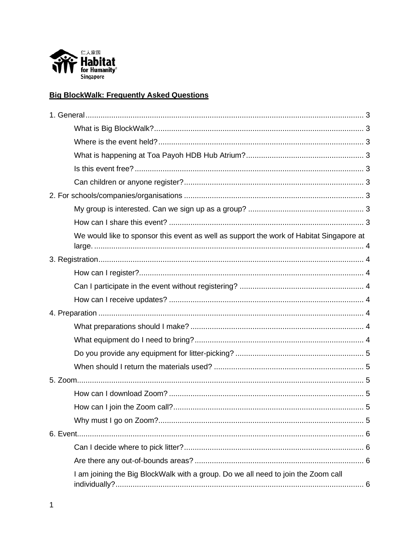

# **Big BlockWalk: Frequently Asked Questions**

| We would like to sponsor this event as well as support the work of Habitat Singapore at |  |
|-----------------------------------------------------------------------------------------|--|
|                                                                                         |  |
|                                                                                         |  |
|                                                                                         |  |
|                                                                                         |  |
|                                                                                         |  |
|                                                                                         |  |
|                                                                                         |  |
|                                                                                         |  |
|                                                                                         |  |
|                                                                                         |  |
|                                                                                         |  |
|                                                                                         |  |
|                                                                                         |  |
|                                                                                         |  |
|                                                                                         |  |
|                                                                                         |  |
| I am joining the Big BlockWalk with a group. Do we all need to join the Zoom call       |  |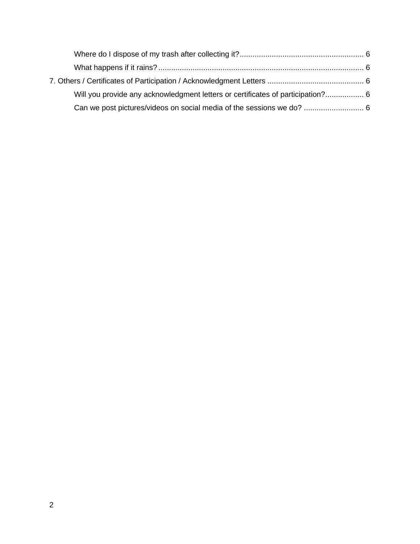| Will you provide any acknowledgment letters or certificates of participation? 6 |  |
|---------------------------------------------------------------------------------|--|
|                                                                                 |  |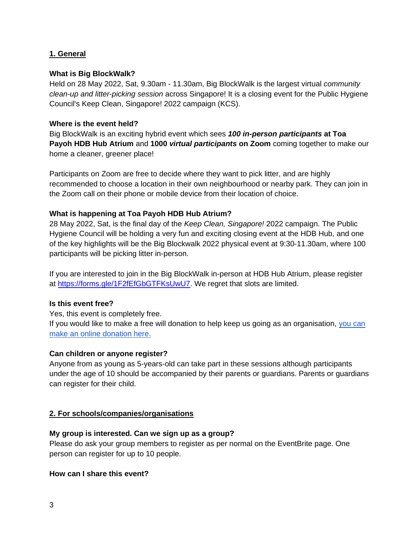# <span id="page-2-0"></span>**1. General**

#### <span id="page-2-1"></span>**What is Big BlockWalk?**

Held on 28 May 2022, Sat, 9.30am - 11.30am, Big BlockWalk is the largest virtual *community clean-up and litter-picking session* across Singapore! It is a closing event for the Public Hygiene Council's Keep Clean, Singapore! 2022 campaign (KCS).

#### <span id="page-2-2"></span>**Where is the event held?**

Big BlockWalk is an exciting hybrid event which sees *100 in-person participants* **at Toa Payoh HDB Hub Atrium** and **1000** *virtual participants* **on Zoom** coming together to make our home a cleaner, greener place!

Participants on Zoom are free to decide where they want to pick litter, and are highly recommended to choose a location in their own neighbourhood or nearby park. They can join in the Zoom call on their phone or mobile device from their location of choice.

#### <span id="page-2-3"></span>**What is happening at Toa Payoh HDB Hub Atrium?**

28 May 2022, Sat, is the final day of the *Keep Clean, Singapore!* 2022 campaign. The Public Hygiene Council will be holding a very fun and exciting closing event at the HDB Hub, and one of the key highlights will be the Big Blockwalk 2022 physical event at 9:30-11.30am, where 100 participants will be picking litter in-person.

If you are interested to join in the Big BlockWalk in-person at HDB Hub Atrium, please register at [https://forms.gle/1F2fEfGbGTFKsUwU7.](https://forms.gle/1F2fEfGbGTFKsUwU7) We regret that slots are limited.

#### <span id="page-2-4"></span>**Is this event free?**

Yes, this event is completely free.

If you would like to make a free will donation to help keep us going as an organisation, [you can](https://habitat.give.asia/)  [make an online donation here.](https://habitat.give.asia/)

#### <span id="page-2-5"></span>**Can children or anyone register?**

Anyone from as young as 5-years-old can take part in these sessions although participants under the age of 10 should be accompanied by their parents or guardians. Parents or guardians can register for their child.

### <span id="page-2-6"></span>**2. For schools/companies/organisations**

#### <span id="page-2-7"></span>**My group is interested. Can we sign up as a group?**

Please do ask your group members to register as per normal on the EventBrite page. One person can register for up to 10 people.

#### <span id="page-2-8"></span>**How can I share this event?**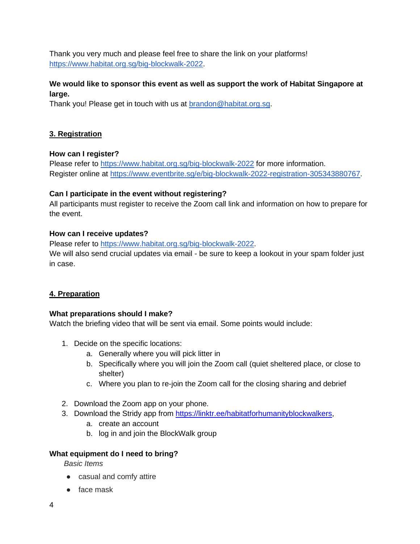Thank you very much and please feel free to share the link on your platforms! [https://www.habitat.org.sg/big-blockwalk-2022.](https://www.habitat.org.sg/big-blockwalk-2022)

# <span id="page-3-0"></span>**We would like to sponsor this event as well as support the work of Habitat Singapore at large.**

Thank you! Please get in touch with us at [brandon@habitat.org.sg.](mailto:brandon@habitat.org.sg)

# <span id="page-3-1"></span>**3. Registration**

## <span id="page-3-2"></span>**How can I register?**

Please refer to<https://www.habitat.org.sg/big-blockwalk-2022> for more information. Register online at [https://www.eventbrite.sg/e/big-blockwalk-2022-registration-305343880767.](https://www.eventbrite.sg/e/big-blockwalk-2022-registration-305343880767)

## <span id="page-3-3"></span>**Can I participate in the event without registering?**

All participants must register to receive the Zoom call link and information on how to prepare for the event.

## <span id="page-3-4"></span>**How can I receive updates?**

Please refer to [https://www.habitat.org.sg/big-blockwalk-2022.](https://www.habitat.org.sg/big-blockwalk-2022)

We will also send crucial updates via email - be sure to keep a lookout in your spam folder just in case.

# <span id="page-3-5"></span>**4. Preparation**

### <span id="page-3-6"></span>**What preparations should I make?**

Watch the briefing video that will be sent via email. Some points would include:

- 1. Decide on the specific locations:
	- a. Generally where you will pick litter in
	- b. Specifically where you will join the Zoom call (quiet sheltered place, or close to shelter)
	- c. Where you plan to re-join the Zoom call for the closing sharing and debrief
- 2. Download the Zoom app on your phone.
- 3. Download the Stridy app from [https://linktr.ee/habitatforhumanityblockwalkers,](https://linktr.ee/habitatforhumanityblockwalkers)
	- a. create an account
	- b. log in and join the BlockWalk group

### <span id="page-3-7"></span>**What equipment do I need to bring?**

*Basic Items* 

- casual and comfy attire
- face mask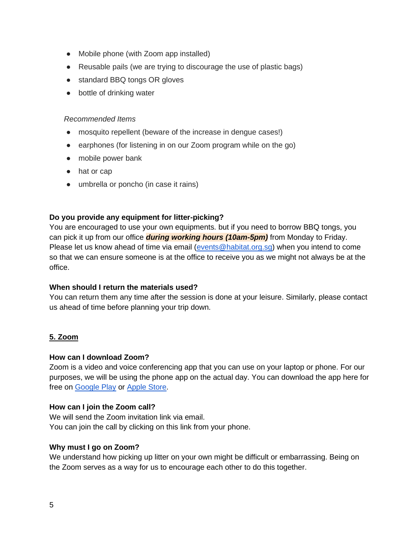- Mobile phone (with Zoom app installed)
- Reusable pails (we are trying to discourage the use of plastic bags)
- standard BBQ tongs OR gloves
- bottle of drinking water

#### *Recommended Items*

- mosquito repellent (beware of the increase in dengue cases!)
- earphones (for listening in on our Zoom program while on the go)
- mobile power bank
- hat or cap
- umbrella or poncho (in case it rains)

## <span id="page-4-0"></span>**Do you provide any equipment for litter-picking?**

You are encouraged to use your own equipments. but if you need to borrow BBQ tongs, you can pick it up from our office *during working hours (10am-5pm)* from Monday to Friday. Please let us know ahead of time via email [\(events@habitat.org.sg\)](mailto:events@habitat.org.sg) when you intend to come so that we can ensure someone is at the office to receive you as we might not always be at the office.

### <span id="page-4-1"></span>**When should I return the materials used?**

You can return them any time after the session is done at your leisure. Similarly, please contact us ahead of time before planning your trip down.

# <span id="page-4-2"></span>**5. Zoom**

### <span id="page-4-3"></span>**How can I download Zoom?**

Zoom is a video and voice conferencing app that you can use on your laptop or phone. For our purposes, we will be using the phone app on the actual day. You can download the app here for free on [Google Play](https://play.google.com/store/apps/details?id=us.zoom.videomeetings&hl=en_SG) or [Apple Store.](https://apps.apple.com/us/developer/zoom/id530594111)

### <span id="page-4-4"></span>**How can I join the Zoom call?**

We will send the Zoom invitation link via email. You can join the call by clicking on this link from your phone.

### <span id="page-4-5"></span>**Why must I go on Zoom?**

We understand how picking up litter on your own might be difficult or embarrassing. Being on the Zoom serves as a way for us to encourage each other to do this together.